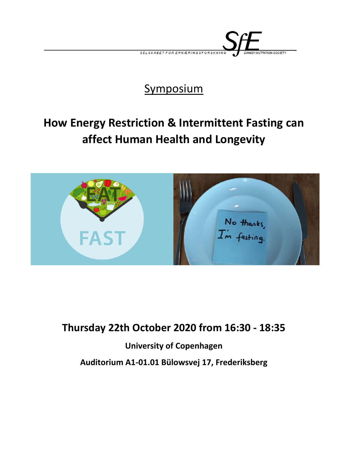

## **Symposium**

# **How Energy Restriction & Intermittent Fasting can affect Human Health and Longevity**



### **Thursday 22th October 2020 from 16:30 - 18:35**

### **University of Copenhagen**

**Auditorium A1-01.01 Bülowsvej 17, Frederiksberg**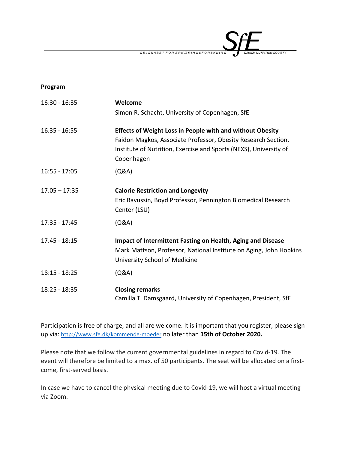SELSKABET FOR ERNÆRINGSFORSKN .<br>UTRITION SOCIETY

| Program         |                                                                    |
|-----------------|--------------------------------------------------------------------|
| $16:30 - 16:35$ | Welcome                                                            |
|                 | Simon R. Schacht, University of Copenhagen, SfE                    |
| $16.35 - 16:55$ | <b>Effects of Weight Loss in People with and without Obesity</b>   |
|                 | Faidon Magkos, Associate Professor, Obesity Research Section,      |
|                 | Institute of Nutrition, Exercise and Sports (NEXS), University of  |
|                 | Copenhagen                                                         |
| $16:55 - 17:05$ | (Q&A)                                                              |
| $17.05 - 17:35$ | <b>Calorie Restriction and Longevity</b>                           |
|                 | Eric Ravussin, Boyd Professor, Pennington Biomedical Research      |
|                 | Center (LSU)                                                       |
| 17:35 - 17:45   | (Q&A)                                                              |
| 17.45 - 18:15   | <b>Impact of Intermittent Fasting on Health, Aging and Disease</b> |
|                 | Mark Mattson, Professor, National Institute on Aging, John Hopkins |
|                 | University School of Medicine                                      |
| $18:15 - 18:25$ | (Q&A)                                                              |
|                 |                                                                    |
| 18:25 - 18:35   | <b>Closing remarks</b>                                             |
|                 | Camilla T. Damsgaard, University of Copenhagen, President, SfE     |

Participation is free of charge, and all are welcome. It is important that you register, please sign up via: <http://www.sfe.dk/kommende-moeder> no later than **15th of October 2020.**

Please note that we follow the current governmental guidelines in regard to Covid-19. The event will therefore be limited to a max. of 50 participants. The seat will be allocated on a firstcome, first-served basis.

In case we have to cancel the physical meeting due to Covid-19, we will host a virtual meeting via Zoom.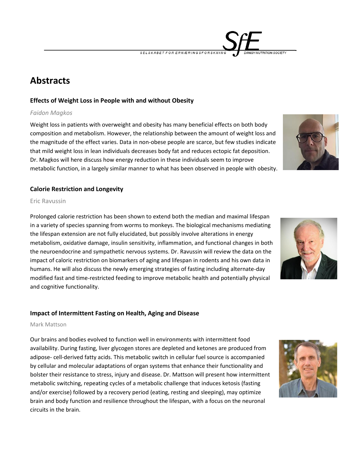**Abstracts**

#### **Effects of Weight Loss in People with and without Obesity**

#### *Faidon Magkos*

Weight loss in patients with overweight and obesity has many beneficial effects on both body composition and metabolism. However, the relationship between the amount of weight loss and the magnitude of the effect varies. Data in non-obese people are scarce, but few studies indicate that mild weight loss in lean individuals decreases body fat and reduces ectopic fat deposition. Dr. Magkos will here discuss how energy reduction in these individuals seem to improve metabolic function, in a largely similar manner to what has been observed in people with obesity.

#### **Calorie Restriction and Longevity**

#### Eric Ravussin

Prolonged calorie restriction has been shown to extend both the median and maximal lifespan in a variety of species spanning from worms to monkeys. The biological mechanisms mediating the lifespan extension are not fully elucidated, but possibly involve alterations in energy metabolism, oxidative damage, insulin sensitivity, inflammation, and functional changes in both the neuroendocrine and sympathetic nervous systems. Dr. Ravussin will review the data on the impact of caloric restriction on biomarkers of aging and lifespan in rodents and his own data in humans. He will also discuss the newly emerging strategies of fasting including alternate-day modified fast and time-restricted feeding to improve metabolic health and potentially physical and cognitive functionality.

#### **Impact of Intermittent Fasting on Health, Aging and Disease**

#### Mark Mattson

Our brains and bodies evolved to function well in environments with intermittent food availability. During fasting, liver glycogen stores are depleted and ketones are produced from adipose- cell-derived fatty acids. This metabolic switch in cellular fuel source is accompanied by cellular and molecular adaptations of organ systems that enhance their functionality and bolster their resistance to stress, injury and disease. Dr. Mattson will present how intermittent metabolic switching, repeating cycles of a metabolic challenge that induces ketosis (fasting and/or exercise) followed by a recovery period (eating, resting and sleeping), may optimize brain and body function and resilience throughout the lifespan, with a focus on the neuronal circuits in the brain.